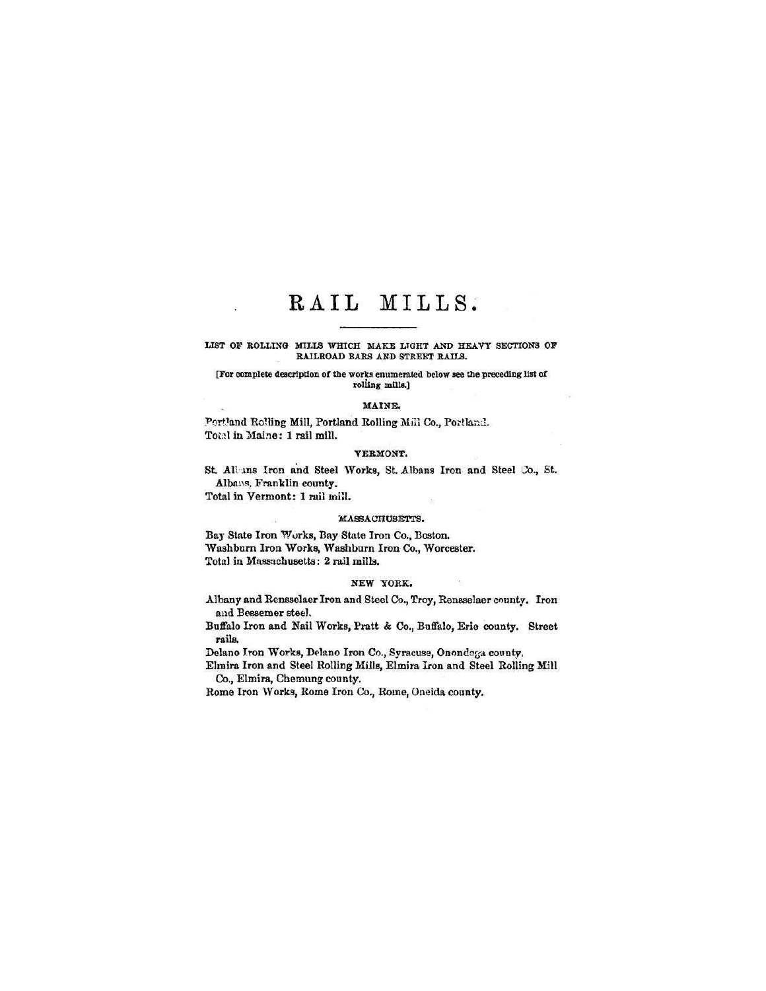# RAIL MILLS.

## LIST OF ROLLING MILLS WHICH MAKE LIGHT AND HEAVY SECTIONS OF RAILROAD BARS AND STREET RAILS.

## [For complete description of the worts enumerated below see the preceding list of rolling mills.]

#### **MAINE.**

Portland Rolling Mill, Portland Rolling Mill Co., Portland. Total in Maine: 1rail mill.

# **VEKMONT.**

St. Al'uns Iron and Steel Works, St. Albans Iron and Steel Co., St. Albans, Franklin county.

Total in Vermont: 1 rail mill.

## MASSACHUSETTS.

Bay State Iron Works, Bay State Iron Co., Boston. Washburn Iron Works, Washburn Iron Co., Worcester. Total in Massachusetts: 2 rail mills.

# NEW YORK.

Albany and Rensselaer Iron and Steel Co., Troy, Rensselaer county. Iron and Bessemer steel,

Buffalo Iron and Nail Works, Pratt & Co., Buffalo, Erie county. Street rails.

Delano Iron Works, Delano Iron Co., Syracuse, Onondaga county,

Elmira Iron and Steel Rolling Mills, Elmira Iron and Steel Rolling Mill Co., Elmira, Chemung county.

Rome Iron Works, Rome Iron Co., Rome, Oneida county.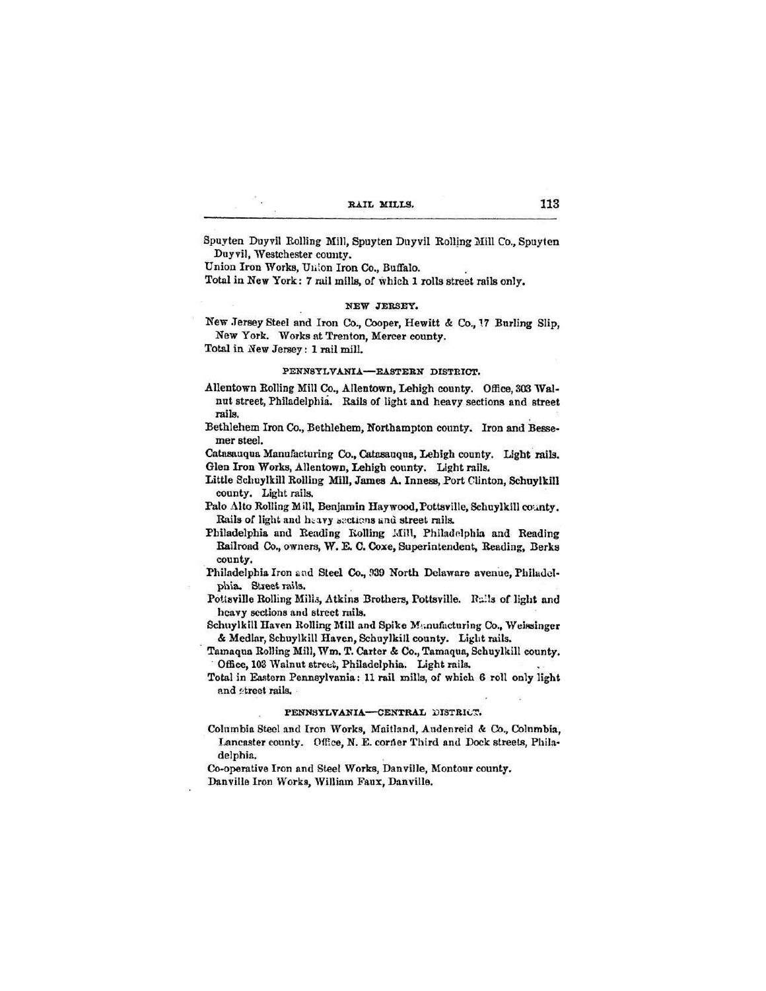| RAIL MILLS. |
|-------------|
|             |

Spuyten Duyvil Rolling Mill, Spuyten Duyvil Rolling Mill Co., Spuyten Duyvil, Westchester county.

Union Iron Works, Union Iron Co., Buffalo.

Total in New York: 7 rail mills, of which 1 rolls street rails only.

#### NEW JERSEY.

New Jersey Steel and Iron Co., Cooper, Hewitt & Co., 17 Burling Slip, New York. Works at Trenton, Mercer county.

Total in New Jersey: 1 rail mill.

# PENNSYLVANIA-EASTERN DISTRICT.

- Allentown Rolling Mill Co., Allentown, Lehigh county. Office, 303 Walnut street, Philadelphia. Rails of light and heavy sections and street rails.
- Bethlehem Iron Co., Bethlehem, Northampton county. Iron and Bessemer steel.

Catasauqua Manufacturing Co., Catasauqua, Lehigh county. Light rails. Glen Iron Works, Allentown, Lehigh county. Light rails.

- Little Schuylkill Rolling Mill, James A. Inness, Port Clinton, Schuylkill county. Light rails.
- Palo Alto Rolling Mill, Benjamin Haywood, Pottsville, Schuylkill county. Rails of light and heavy sections and street rails.
- Philadelphia and Reading Kolling Mill, Philadelphia and Reading Railroad Co., owners, W. E. C. Coxe, Superintendent, Reading, Berks county.
- Philadelphia Iron and Steel Co., 939 North Delaware avenue, Philadelphia. Street rails.
- Pottsville Rolling Mills, Atkins Brothers, Pottsville. Rails of light and heavy sections and street rails.
- Schuylkill Haven Rolling Mill and Spike Manufacturing Co., Weissinger & Medlar, Schuylkill Haven, Schuylkill county. Light rails.
- Tamaqua Rolling Mill, Wm. T. Carter & Co., Tamaqua, Schuylkill county. Office, 103 Walnut street, Philadelphia. Light rails.
- Total in Eastern Pennsylvania: 11 rail mills, of which 6 roll only light and street rails.

#### PENNSYLVANIA-CENTRAL DISTRICT.

Columbia Steel and Iron Works, Maitland, Audenreid & Co., Columbia, Lancaster county. Office, N. E. corner Third and Dock streets, Philadelphia.

Co-operative Iron and Steel Works, Danville, Montour county. Danville Iron Works, William Faux, Danville.

# 113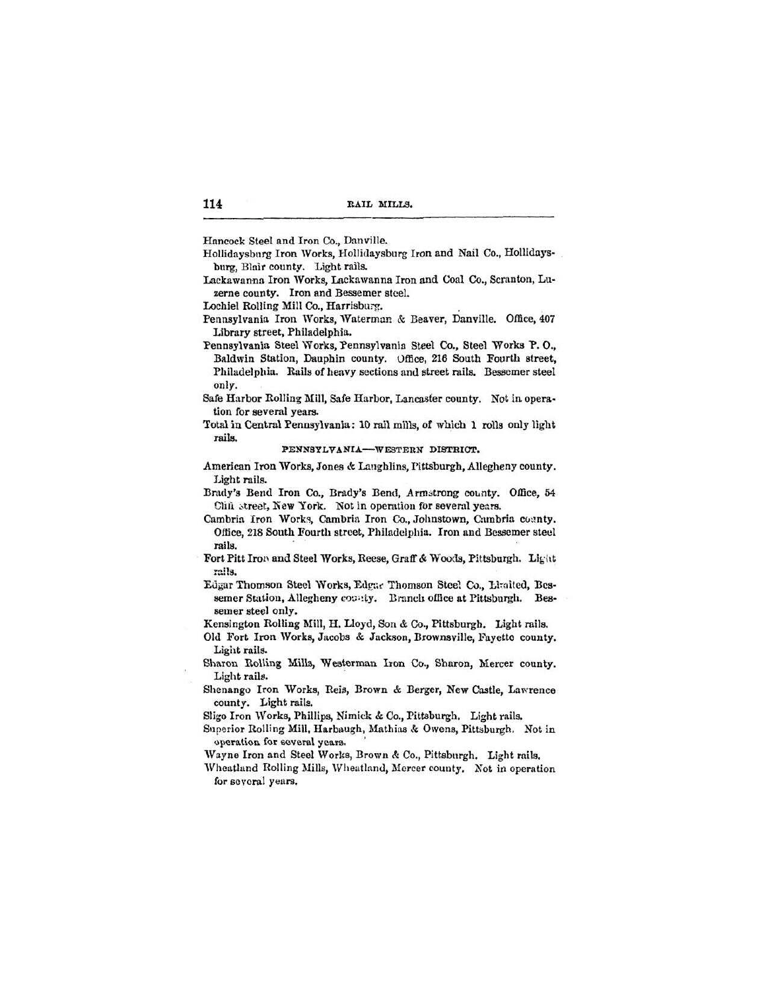**114 KAIL MILLS.**

**Hancock Steel and Iron Co.,** Danville.

Hollidaysburg Iron Works, Hollidaysburg Iron and Nail Co., Hollidaysburg, BIair county. Light rails.

Lackawanna Iron Works, Lackawanna Iron and Coal Co., Scranton, Lu**zerne** county. Iron and Bessemer steel.

Lochiel Rolling Mill Co., Harrisburg.

Pennsylvania Iron Works, Waterman & Beaver, Danville. Office, 407 Library street, Philadelphia.

Pennsylvania Steel Works, Pennsylvania Steel Co., Steel Works P. 0., Baldwin Station, Dauphin county. Office, 216 South Fourth street, Philadelphia. Rails of heavy sections and street rails. Bessemer steel only.

Safe Harbor Rolling Mill, Safe Harbor, Lancaster county. Not in operation for several years.

Total in Central Pennsylvania: 10 rail mills, of which 1 rolla only light rails.

PENNSYLVANIA—WESTERN DISTRICT.

American Iron Works, Jones & Laughlins, Pittsburgh, Allegheny county. Light rails.

Bnidy's Bend Iron Co., Brady's Bend, Armatrong county. Office, 54 Cliil street, New York. Not in operation for several years.

Cambria Iron Works, Cambria Iron Co., Johnstown, Cambria coanty. Office, 218 South Fourth street, Philadelphia. Iron and Bessemer steel **rails.**

Fort Pitt Iron and Steel Works, Reese, Graff & Woods, Pittsburgh. Light rsi's.

Edgar Thomson Steel Works, Edgar Thomson Steel Co., Limited, Bessemer Station, Allegheny county. Branch office at Pittsburgh. Bessemer steel only.

Kensington Rolling Mill, H. Lloyd, Son & Co., Pittsburgh. Light rails.

**Old** Fort Iron Works, Jacobs **& Jackson, Brownsville,** Fayetto county. Light rails.

Sharon Rolling Mills, Westerman Iron Co., Sharon, Mercer county. Light rails.

Shenango Iron Works, Reis, Brown & Berger, New Castle, Lawrence county. Light rails.

Sligo Iron Works, Phillips, Nimick *&*Co., Pittsburgh. Light rails.

Superior Rolling Mill, Harbaugh, Mathias *&* Owens, Pittsburgh, Not in operation for several years.

**Wayne** Iron and Steel Works, Brown & Co., Pittsburgh. Light rails.

**Wheatland Rolling Mills, Wheatland, Mercer county.** Not in operation **for several years.**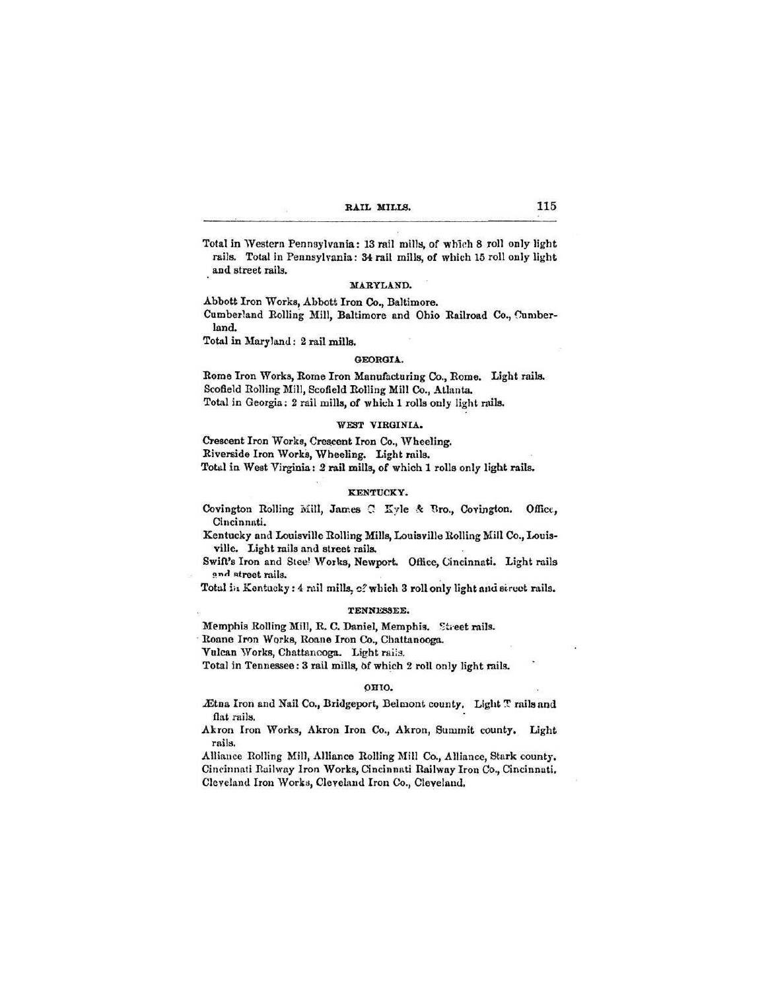| RAIL MILLS. | 115 |
|-------------|-----|
|             |     |

Total in Western Pennsylvania: 13 rail mills, of which 8 roll only light rails. Total in Pennsylvania: 34 rail mills, of which 15 roll only light and street rails.

#### **MARYLAND.**

Abbott Iron **Works, Abbott Iron Co., Baltimore.**

Cumberland Rolling Mill, Baltimore and Ohio Railroad Co., Cumberland.

Total in Maryland: 2 rail mills.

# **GEORGIA.**

Borne Iron Works, Rome Iron Manufacturing Co., Rome. Light rails. Scofield Rolling Mill, Scofield Rolling Mill Co., Atlanta. Total in Georgia; 2 rail mills, of which 1 rolls only light rails.

# **VEST VIRGINIA,**

Crescent Iron Works, Crescent Iron Co., Wheeling. Riverside Iron Works, Wheeling. Light rails. Total in West Virginia: *2* rail mills, of which 1 rolls only light rails.

#### **KENTUCKY.**

Covington Rolling Mill, James C Kyle & Bro., Covington. Office, Cincinnati.

Kentucky and Louisville Rolling Mills, Louisville Rolling Mill Co., Louisville. Light rails and street rails.

Swift's Iron and Stee' Works, Newport. **Office,** Cincinnati. Light rails and street rails.

Total in Scntucky: 4 rail **mills,** c?**which 3** roll only light **and** Birect **rails.**

#### TENNESSEE.

Memphis Rolling Mill, R. C. Daniel, Memphis. Street rails.

Roane Iron Works, Roane Iron Co., Chattanooga.

Vulcan Works, Chattanooga. Light rails.

Total in Tennessee: 3 rail mills, of which 2 roll only light rails.

#### OHIO.

Ætna Iron and Nail Co., Bridgeport, Belmont county. Light T rails and flat rails.

Akron Iron Works, Akron Iron Co., Akron, Summit county. Light rails.

Alliance Boiling Mill, Alliance Rolling Mill **Co.,** Alliance, Stark county, Cincinnati Railway Iron Works, Cincinnati Railway Iron Co., Cincinnati, Cleveland Iron Works, Cleveland Iron Co., Cleveland.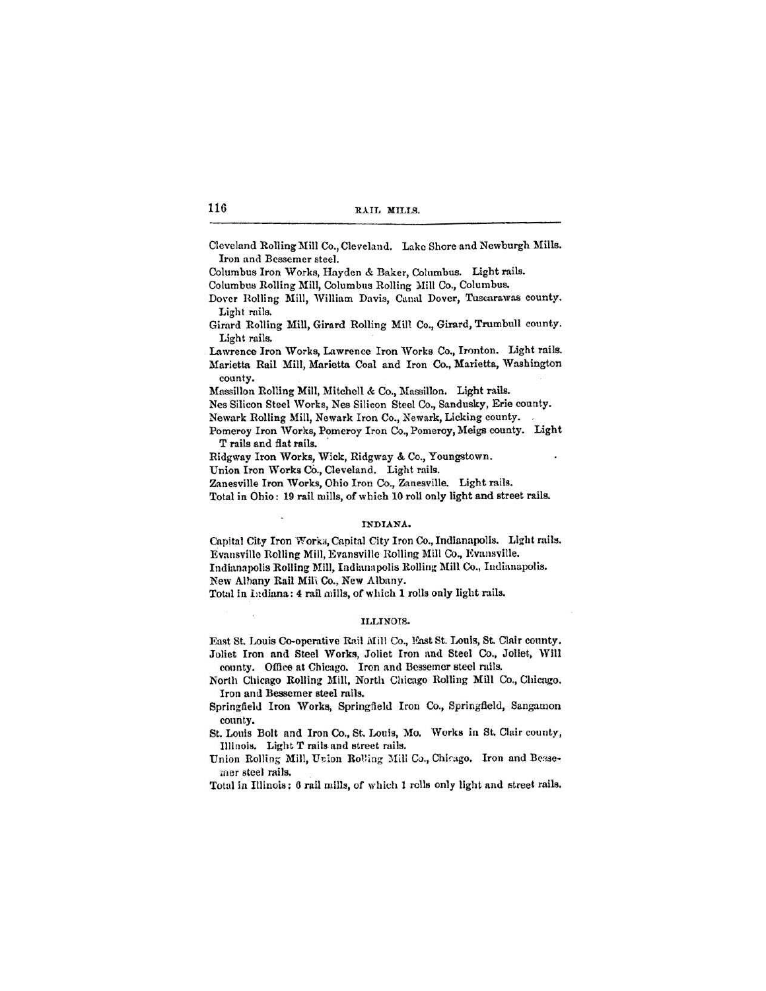| 116 | RAIL MILLS. |
|-----|-------------|
|     |             |

Cleveland Rolling Mill Co.,Cleveland. Lake Shore and Newburgh Mills. Iron and Bessemer steel.

Columbus Iron Works, Hayden & Baker, Columbus. Light rails.

Columbus Rolling Mill, Columbus Rolling Mill Co., Columbus.

Dover Rolling Mill, William Davis, Canal Dover, Tuscarawas county. Light rails.

Girard Rolling Mill, Girard Rolling Mill Co., Girard, Trumbull county. Light rails.

Lawrence Iron Works, Lawrence Iron Works Co., Ironton. Light rails. Marietta Rail Mill, Marietta Coal and Iron Co., Marietta, Washington county.

Mnssillon Rolling Mill. Mitchell & Co., Massillon. Light rails.

Nes Silicon Steel Works, Nes Silicon Steel Co., Sandusky, Erie county. Newark Rolling Mill, Newark Iron Co., Newark, Licking county.

Pomeroy Iron Works, Pomeroy Iron Co., Pomeroy, Meigs county. Light T rails and flat rails.

Ridgway Iron Works, Wick, Ridgway *&*Co., Youngstown.

Union Iron Works Co., Cleveland. Light rails.

Zanesville Iron Works, Ohio Iron Co., Zanesville. Light rails.

Total in Ohio: 19 rail mills, of which 10 roll only light and street rails.

## INDIANA.

Capital City Iron Worka, Capital City Iron Co.,Indianapolis. Liglit rails. Evansville Rolling Mill, Evansville Rolling Mill Co., Evansville. Indianapolis Rolling Mill, Indianapolis Rolling Mill Co., Indianapolis. New Albany Rail Mil\ Co., New Albany.

Total in Indiana: 4 rail mills, of which 1 rolls only light rails.

# ILLINOT3!

East St. Louis Co-operative Rail Mill Co., East St. Louis, St. Clair county. Joliet Iron and Steel Works, Joliet Iron and Steel Co., Joliet, Will **county.** Office at Chicago. Iron and Bessemer steel mils.

North Chicago Rolling Mill, North Chicago Rolling Mill Co., Chicago. Iron and Bessemer steel rails.

Springfield Iron Works, Springfield Iron Co., Springfield, Sangamon county.

St. Louis Bolt and Iron Co., St, Louis, Mo. Works in St. Clair county, **Illinois. Light T mils and** street rails.

Union Rolling Mill, Union Rolling Mill Co., Chicago. Iron and Beasemer steel rails.

Total in Illinois; 6 rail mills, of which 1 rolls only light and street rails.